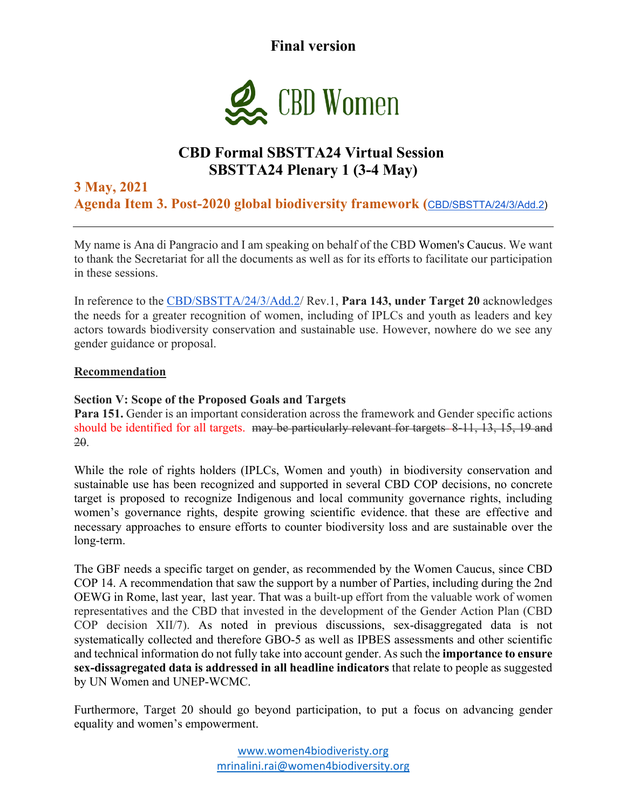**Final version** 



## **CBD Formal SBSTTA24 Virtual Session SBSTTA24 Plenary 1 (3-4 May)**

### **3 May, 2021 Agenda Item 3. Post-2020 global biodiversity framework (**CBD/SBSTTA/24/3/Add.2)

My name is Ana di Pangracio and I am speaking on behalf of the CBD Women's Caucus. We want to thank the Secretariat for all the documents as well as for its efforts to facilitate our participation in these sessions.

In reference to the CBD/SBSTTA/24/3/Add.2/ Rev.1, **Para 143, under Target 20** acknowledges the needs for a greater recognition of women, including of IPLCs and youth as leaders and key actors towards biodiversity conservation and sustainable use. However, nowhere do we see any gender guidance or proposal.

#### **Recommendation**

#### **Section V: Scope of the Proposed Goals and Targets**

**Para 151.** Gender is an important consideration across the framework and Gender specific actions should be identified for all targets. may be particularly relevant for targets 8-11, 13, 15, 19 and 20.

While the role of rights holders (IPLCs, Women and youth) in biodiversity conservation and sustainable use has been recognized and supported in several CBD COP decisions, no concrete target is proposed to recognize Indigenous and local community governance rights, including women's governance rights, despite growing scientific evidence. that these are effective and necessary approaches to ensure efforts to counter biodiversity loss and are sustainable over the long-term.

The GBF needs a specific target on gender, as recommended by the Women Caucus, since CBD COP 14. A recommendation that saw the support by a number of Parties, including during the 2nd OEWG in Rome, last year, last year. That was a built-up effort from the valuable work of women representatives and the CBD that invested in the development of the Gender Action Plan (CBD COP decision XII/7). As noted in previous discussions, sex-disaggregated data is not systematically collected and therefore GBO-5 as well as IPBES assessments and other scientific and technical information do not fully take into account gender. As such the **importance to ensure sex-dissagregated data is addressed in all headline indicators** that relate to people as suggested by UN Women and UNEP-WCMC.

Furthermore, Target 20 should go beyond participation, to put a focus on advancing gender equality and women's empowerment.